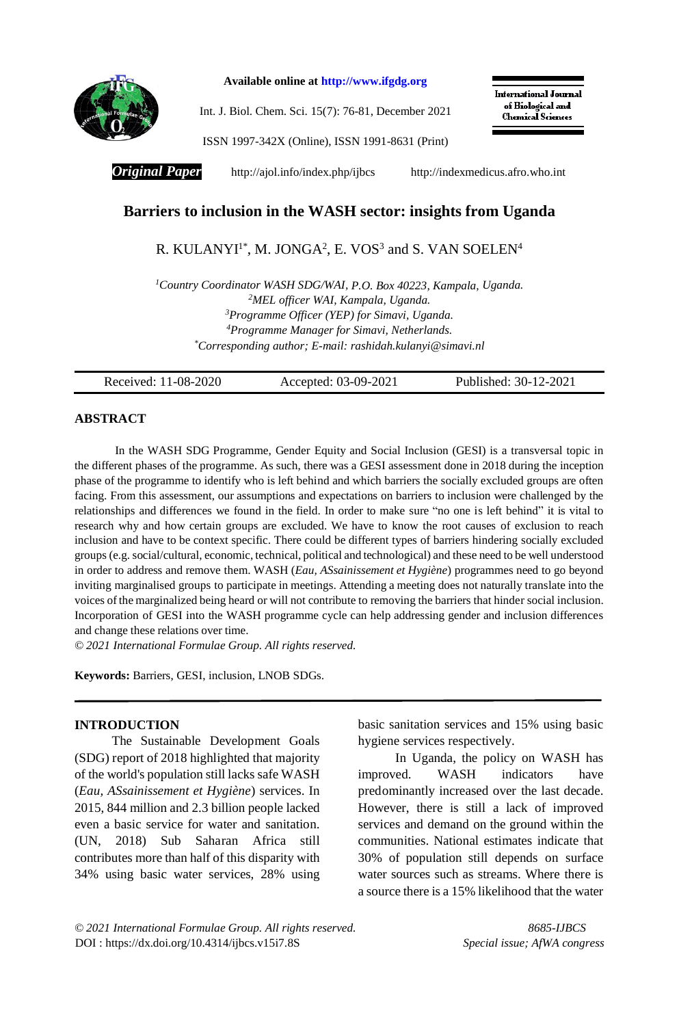

**Available online at [http://www.ifgdg.org](http://www.ifgdg.org/)**

Int. J. Biol. Chem. Sci. 15(7): 76-81, December 2021

**International Journal** of Biological and **Chemical Sciences** 

ISSN 1997-342X (Online), ISSN 1991-8631 (Print)

*Original Paper* <http://ajol.info/index.php/ijbcs>[http://indexmedicus.afro.who.int](http://indexmedicus.afro.who.int/)

# **Barriers to inclusion in the WASH sector: insights from Uganda**

# R. KULANYI $^{\text{1*}}$ , M. JONGA<sup>2</sup>, E. VOS<sup>3</sup> and S. VAN SOELEN<sup>4</sup>

*Country Coordinator WASH SDG/WAI, P.O. Box 40223, Kampala, Uganda. MEL officer WAI, Kampala, Uganda. Programme Officer (YEP) for Simavi, Uganda. Programme Manager for Simavi, Netherlands. \*Corresponding author; E-mail[: rashidah.kulanyi@simavi.nl](mailto:rashidah.kulanyi@simavi.nl)*

Received: 11-08-2020 Accepted: 03-09-2021 Published: 30-12-2021

# **ABSTRACT**

In the WASH SDG Programme, Gender Equity and Social Inclusion (GESI) is a transversal topic in the different phases of the programme. As such, there was a GESI assessment done in 2018 during the inception phase of the programme to identify who is left behind and which barriers the socially excluded groups are often facing. From this assessment, our assumptions and expectations on barriers to inclusion were challenged by the relationships and differences we found in the field. In order to make sure "no one is left behind" it is vital to research why and how certain groups are excluded. We have to know the root causes of exclusion to reach inclusion and have to be context specific. There could be different types of barriers hindering socially excluded groups (e.g. social/cultural, economic, technical, political and technological) and these need to be well understood in order to address and remove them. WASH (*Eau, ASsainissement et Hygiène*) programmes need to go beyond inviting marginalised groups to participate in meetings. Attending a meeting does not naturally translate into the voices ofthe marginalized being heard or will not contribute to removing the barriers that hinder social inclusion. Incorporation of GESI into the WASH programme cycle can help addressing gender and inclusion differences and change these relations over time.

*© 2021 International Formulae Group. All rights reserved.*

**Keywords:** Barriers, GESI, inclusion, LNOB SDGs.

# **INTRODUCTION**

The Sustainable Development Goals (SDG) report of 2018 highlighted that majority of the world's population still lacks safe WASH (*Eau, ASsainissement et Hygiène*) services. In 2015, 844 million and 2.3 billion people lacked even a basic service for water and sanitation. (UN, 2018) Sub Saharan Africa still contributes more than half of this disparity with 34% using basic water services, 28% using

basic sanitation services and 15% using basic hygiene services respectively.

In Uganda, the policy on WASH has improved. WASH indicators have predominantly increased over the last decade. However, there is still a lack of improved services and demand on the ground within the communities. National estimates indicate that 30% of population still depends on surface water sources such as streams. Where there is a source there is a 15% likelihood that the water

*© 2021 International Formulae Group. All rights reserved. 8685-IJBCS* DOI : [https://dx.doi.org/10.4314/ijbcs.v15i7.8S](https://dx.doi.org/10.4314/ijbcs.v15i7.1S) *Special issue; AfWA congress*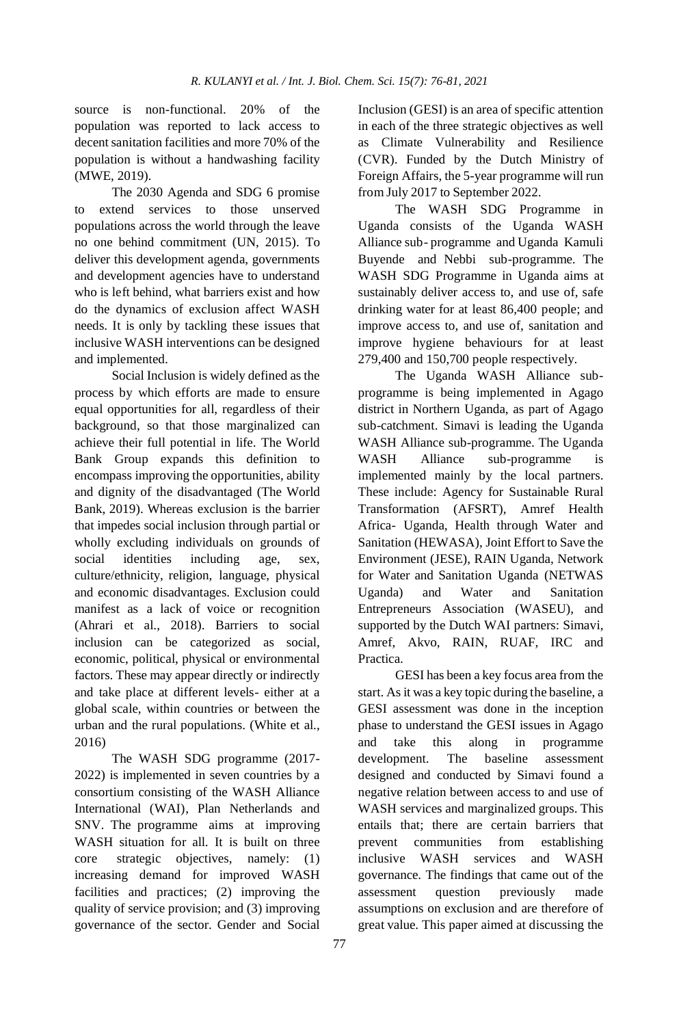source is non-functional. 20% of the population was reported to lack access to decent sanitation facilities and more 70% of the population is without a handwashing facility (MWE, 2019).

The 2030 Agenda and SDG 6 promise to extend services to those unserved populations across the world through the leave no one behind commitment (UN, 2015). To deliver this development agenda, governments and development agencies have to understand who is left behind, what barriers exist and how do the dynamics of exclusion affect WASH needs. It is only by tackling these issues that inclusive WASH interventions can be designed and implemented.

Social Inclusion is widely defined as the process by which efforts are made to ensure equal opportunities for all, regardless of their background, so that those marginalized can achieve their full potential in life. The World Bank Group expands this definition to encompass improving the opportunities, ability and dignity of the disadvantaged (The World Bank, 2019). Whereas exclusion is the barrier that impedes social inclusion through partial or wholly excluding individuals on grounds of social identities including age, sex, culture/ethnicity, religion, language, physical and economic disadvantages. Exclusion could manifest as a lack of voice or recognition (Ahrari et al., 2018). Barriers to social inclusion can be categorized as social, economic, political, physical or environmental factors. These may appear directly or indirectly and take place at different levels- either at a global scale, within countries or between the urban and the rural populations. (White et al., 2016)

The WASH SDG programme (2017- 2022) is implemented in seven countries by a consortium consisting of the WASH Alliance International (WAI), Plan Netherlands and SNV. The programme aims at improving WASH situation for all. It is built on three core strategic objectives, namely: (1) increasing demand for improved WASH facilities and practices; (2) improving the quality of service provision; and (3) improving governance of the sector. Gender and Social Inclusion (GESI) is an area of specific attention in each of the three strategic objectives as well as Climate Vulnerability and Resilience (CVR). Funded by the Dutch Ministry of Foreign Affairs, the 5-year programme will run from July 2017 to September 2022.

The WASH SDG Programme in Uganda consists of the Uganda WASH Alliance sub- programme and Uganda Kamuli Buyende and Nebbi sub-programme. The WASH SDG Programme in Uganda aims at sustainably deliver access to, and use of, safe drinking water for at least 86,400 people; and improve access to, and use of, sanitation and improve hygiene behaviours for at least 279,400 and 150,700 people respectively.

The Uganda WASH Alliance subprogramme is being implemented in Agago district in Northern Uganda, as part of Agago sub-catchment. Simavi is leading the Uganda WASH Alliance sub-programme. The Uganda WASH Alliance sub-programme is implemented mainly by the local partners. These include: Agency for Sustainable Rural Transformation (AFSRT), Amref Health Africa- Uganda, Health through Water and Sanitation (HEWASA), Joint Effort to Save the Environment (JESE), RAIN Uganda, Network for Water and Sanitation Uganda (NETWAS Uganda) and Water and Sanitation Entrepreneurs Association (WASEU), and supported by the Dutch WAI partners: Simavi, Amref, Akvo, RAIN, RUAF, IRC and Practica.

GESI has been a key focus area from the start. As it was a key topic during the baseline, a GESI assessment was done in the inception phase to understand the GESI issues in Agago and take this along in programme development. The baseline assessment designed and conducted by Simavi found a negative relation between access to and use of WASH services and marginalized groups. This entails that; there are certain barriers that prevent communities from establishing inclusive WASH services and WASH governance. The findings that came out of the assessment question previously made assumptions on exclusion and are therefore of great value. This paper aimed at discussing the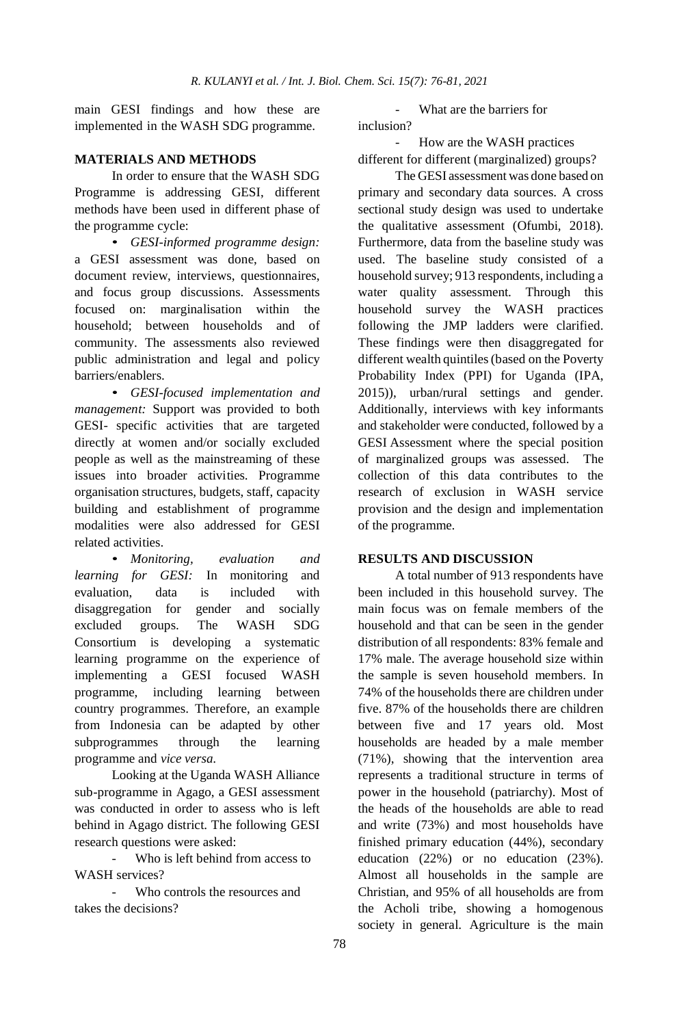main GESI findings and how these are implemented in the WASH SDG programme.

### **MATERIALS AND METHODS**

In order to ensure that the WASH SDG Programme is addressing GESI, different methods have been used in different phase of the programme cycle:

• *GESI-informed programme design:* a GESI assessment was done, based on document review, interviews, questionnaires, and focus group discussions. Assessments focused on: marginalisation within the household; between households and of community. The assessments also reviewed public administration and legal and policy barriers/enablers.

• *GESI-focused implementation and management:* Support was provided to both GESI- specific activities that are targeted directly at women and/or socially excluded people as well as the mainstreaming of these issues into broader activities. Programme organisation structures, budgets, staff, capacity building and establishment of programme modalities were also addressed for GESI related activities.

• *Monitoring, evaluation and learning for GESI:* In monitoring and evaluation, data is included with disaggregation for gender and socially excluded groups. The WASH SDG Consortium is developing a systematic learning programme on the experience of implementing a GESI focused WASH programme, including learning between country programmes. Therefore, an example from Indonesia can be adapted by other subprogrammes through the learning programme and *vice versa*.

Looking at the Uganda WASH Alliance sub-programme in Agago, a GESI assessment was conducted in order to assess who is left behind in Agago district. The following GESI research questions were asked:

Who is left behind from access to WASH services?

Who controls the resources and takes the decisions?

What are the barriers for inclusion?

- How are the WASH practices different for different (marginalized) groups?

The GESI assessment was done based on primary and secondary data sources. A cross sectional study design was used to undertake the qualitative assessment (Ofumbi, 2018). Furthermore, data from the baseline study was used. The baseline study consisted of a household survey; 913 respondents, including a water quality assessment. Through this household survey the WASH practices following the JMP ladders were clarified. These findings were then disaggregated for different wealth quintiles(based on the Poverty Probability Index (PPI) for Uganda (IPA, 2015)), urban/rural settings and gender. Additionally, interviews with key informants and stakeholder were conducted, followed by a GESI Assessment where the special position of marginalized groups was assessed. The collection of this data contributes to the research of exclusion in WASH service provision and the design and implementation of the programme.

# **RESULTS AND DISCUSSION**

A total number of 913 respondents have been included in this household survey. The main focus was on female members of the household and that can be seen in the gender distribution of all respondents: 83% female and 17% male. The average household size within the sample is seven household members. In 74% of the households there are children under five. 87% of the households there are children between five and 17 years old. Most households are headed by a male member (71%), showing that the intervention area represents a traditional structure in terms of power in the household (patriarchy). Most of the heads of the households are able to read and write (73%) and most households have finished primary education (44%), secondary education (22%) or no education (23%). Almost all households in the sample are Christian, and 95% of all households are from the Acholi tribe, showing a homogenous society in general. Agriculture is the main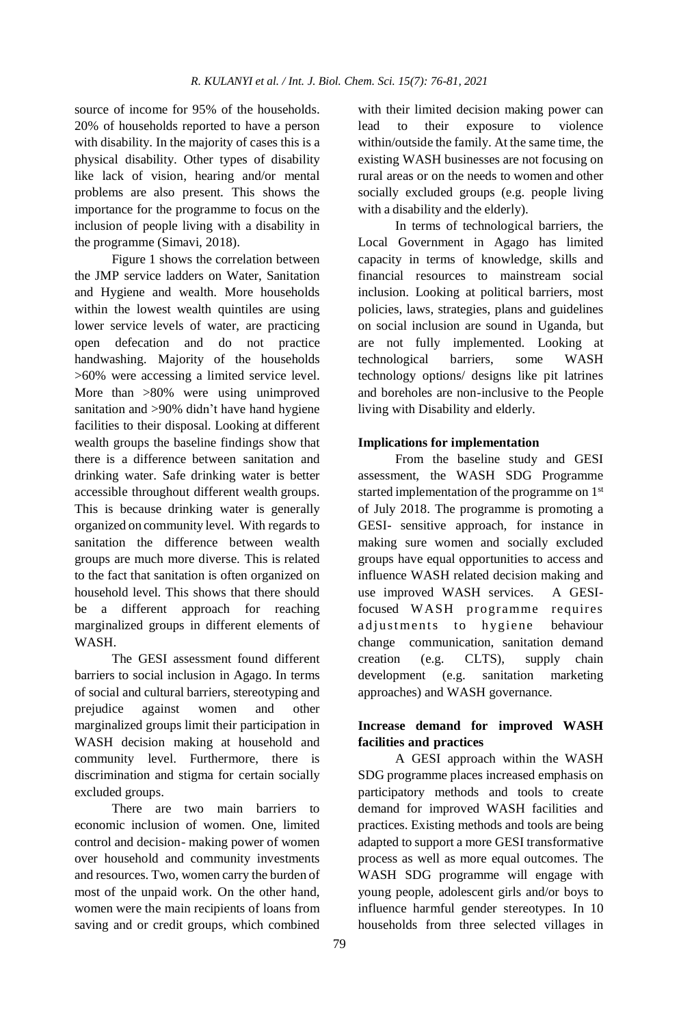source of income for 95% of the households. 20% of households reported to have a person with disability. In the majority of cases this is a physical disability. Other types of disability like lack of vision, hearing and/or mental problems are also present. This shows the importance for the programme to focus on the inclusion of people living with a disability in the programme (Simavi, 2018).

Figure 1 shows the correlation between the JMP service ladders on Water, Sanitation and Hygiene and wealth. More households within the lowest wealth quintiles are using lower service levels of water, are practicing open defecation and do not practice handwashing. Majority of the households >60% were accessing a limited service level. More than  $>80\%$  were using unimproved sanitation and >90% didn't have hand hygiene facilities to their disposal. Looking at different wealth groups the baseline findings show that there is a difference between sanitation and drinking water. Safe drinking water is better accessible throughout different wealth groups. This is because drinking water is generally organized on community level. With regards to sanitation the difference between wealth groups are much more diverse. This is related to the fact that sanitation is often organized on household level. This shows that there should be a different approach for reaching marginalized groups in different elements of WASH.

The GESI assessment found different barriers to social inclusion in Agago. In terms of social and cultural barriers, stereotyping and prejudice against women and other marginalized groups limit their participation in WASH decision making at household and community level. Furthermore, there is discrimination and stigma for certain socially excluded groups.

There are two main barriers to economic inclusion of women. One, limited control and decision- making power of women over household and community investments and resources. Two, women carry the burden of most of the unpaid work. On the other hand, women were the main recipients of loans from saving and or credit groups, which combined

with their limited decision making power can lead to their exposure to violence within/outside the family. At the same time, the existing WASH businesses are not focusing on rural areas or on the needs to women and other socially excluded groups (e.g. people living with a disability and the elderly).

In terms of technological barriers, the Local Government in Agago has limited capacity in terms of knowledge, skills and financial resources to mainstream social inclusion. Looking at political barriers, most policies, laws, strategies, plans and guidelines on social inclusion are sound in Uganda, but are not fully implemented. Looking at technological barriers, some WASH technology options/ designs like pit latrines and boreholes are non-inclusive to the People living with Disability and elderly.

# **Implications for implementation**

From the baseline study and GESI assessment, the WASH SDG Programme started implementation of the programme on 1<sup>st</sup> of July 2018. The programme is promoting a GESI- sensitive approach, for instance in making sure women and socially excluded groups have equal opportunities to access and influence WASH related decision making and use improved WASH services. A GESIfocused WASH programme requires adjustments to hygiene behaviour change communication, sanitation demand creation (e.g. CLTS), supply chain development (e.g. sanitation marketing approaches) and WASH governance.

# **Increase demand for improved WASH facilities and practices**

A GESI approach within the WASH SDG programme places increased emphasis on participatory methods and tools to create demand for improved WASH facilities and practices. Existing methods and tools are being adapted to support a more GESI transformative process as well as more equal outcomes. The WASH SDG programme will engage with young people, adolescent girls and/or boys to influence harmful gender stereotypes. In 10 households from three selected villages in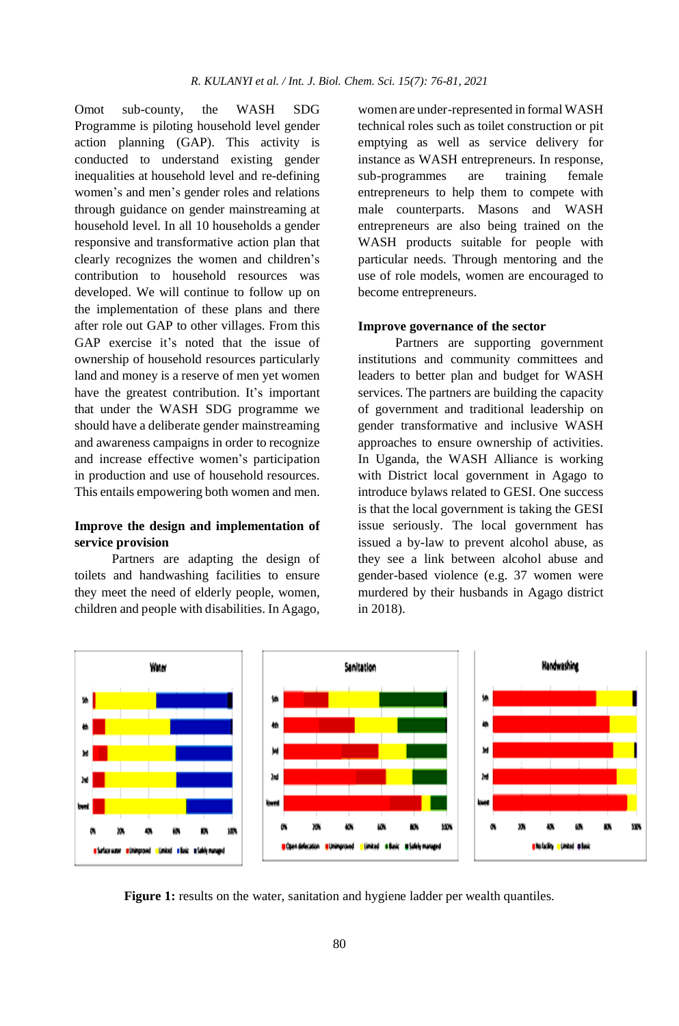Omot sub-county, the WASH SDG Programme is piloting household level gender action planning (GAP). This activity is conducted to understand existing gender inequalities at household level and re-defining women's and men's gender roles and relations through guidance on gender mainstreaming at household level. In all 10 households a gender responsive and transformative action plan that clearly recognizes the women and children's contribution to household resources was developed. We will continue to follow up on the implementation of these plans and there after role out GAP to other villages. From this GAP exercise it's noted that the issue of ownership of household resources particularly land and money is a reserve of men yet women have the greatest contribution. It's important that under the WASH SDG programme we should have a deliberate gender mainstreaming and awareness campaigns in order to recognize and increase effective women's participation in production and use of household resources. This entails empowering both women and men.

# **Improve the design and implementation of service provision**

Partners are adapting the design of toilets and handwashing facilities to ensure they meet the need of elderly people, women, children and people with disabilities. In Agago,

women are under-represented in formal WASH technical roles such as toilet construction or pit emptying as well as service delivery for instance as WASH entrepreneurs. In response, sub-programmes are training female entrepreneurs to help them to compete with male counterparts. Masons and WASH entrepreneurs are also being trained on the WASH products suitable for people with particular needs. Through mentoring and the use of role models, women are encouraged to become entrepreneurs.

#### **Improve governance of the sector**

Partners are supporting government institutions and community committees and leaders to better plan and budget for WASH services. The partners are building the capacity of government and traditional leadership on gender transformative and inclusive WASH approaches to ensure ownership of activities. In Uganda, the WASH Alliance is working with District local government in Agago to introduce bylaws related to GESI. One success is that the local government is taking the GESI issue seriously. The local government has issued a by-law to prevent alcohol abuse, as they see a link between alcohol abuse and gender-based violence (e.g. 37 women were murdered by their husbands in Agago district in 2018).



**Figure 1:** results on the water, sanitation and hygiene ladder per wealth quantiles.